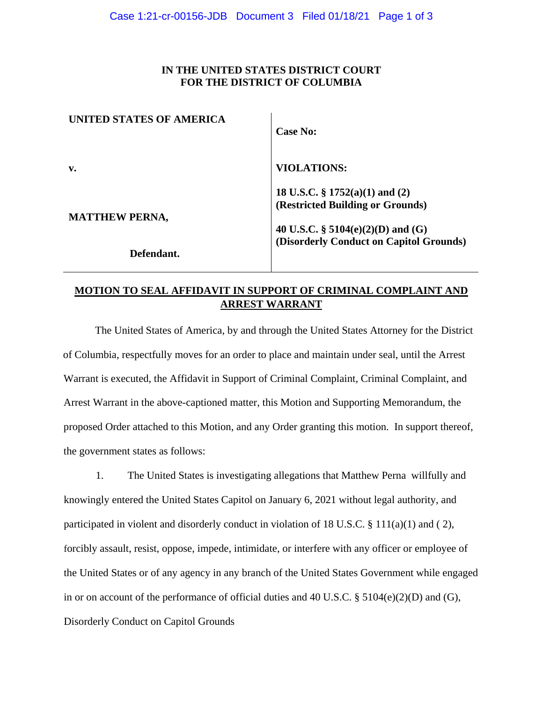### **IN THE UNITED STATES DISTRICT COURT FOR THE DISTRICT OF COLUMBIA**

| UNITED STATES OF AMERICA | <b>Case No:</b>                                                                                            |
|--------------------------|------------------------------------------------------------------------------------------------------------|
| v.                       | <b>VIOLATIONS:</b>                                                                                         |
| <b>MATTHEW PERNA,</b>    | 18 U.S.C. $\S 1752(a)(1)$ and (2)<br>(Restricted Building or Grounds)<br>40 U.S.C. § 5104(e)(2)(D) and (G) |
| Defendant.               | (Disorderly Conduct on Capitol Grounds)                                                                    |

# **MOTION TO SEAL AFFIDAVIT IN SUPPORT OF CRIMINAL COMPLAINT AND ARREST WARRANT**

The United States of America, by and through the United States Attorney for the District of Columbia, respectfully moves for an order to place and maintain under seal, until the Arrest Warrant is executed, the Affidavit in Support of Criminal Complaint, Criminal Complaint, and Arrest Warrant in the above-captioned matter, this Motion and Supporting Memorandum, the proposed Order attached to this Motion, and any Order granting this motion. In support thereof, the government states as follows:

1. The United States is investigating allegations that Matthew Perna willfully and knowingly entered the United States Capitol on January 6, 2021 without legal authority, and participated in violent and disorderly conduct in violation of 18 U.S.C. § 111(a)(1) and (2), forcibly assault, resist, oppose, impede, intimidate, or interfere with any officer or employee of the United States or of any agency in any branch of the United States Government while engaged in or on account of the performance of official duties and 40 U.S.C. § 5104(e)(2)(D) and (G), Disorderly Conduct on Capitol Grounds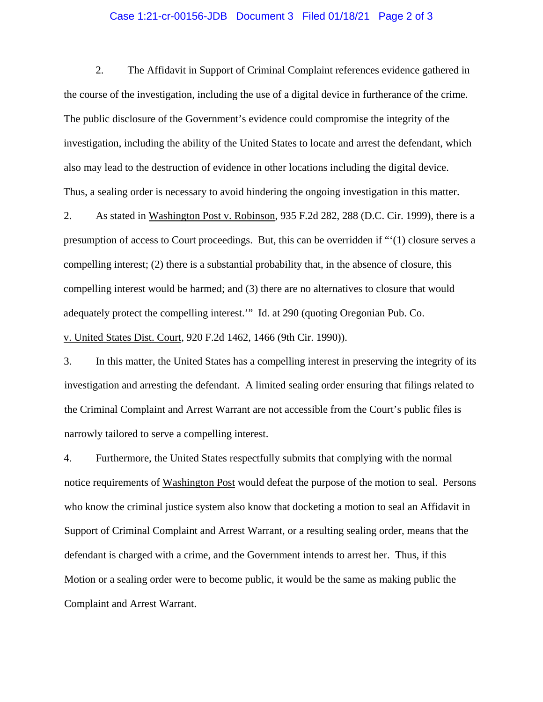#### Case 1:21-cr-00156-JDB Document 3 Filed 01/18/21 Page 2 of 3

2. The Affidavit in Support of Criminal Complaint references evidence gathered in the course of the investigation, including the use of a digital device in furtherance of the crime. The public disclosure of the Government's evidence could compromise the integrity of the investigation, including the ability of the United States to locate and arrest the defendant, which also may lead to the destruction of evidence in other locations including the digital device. Thus, a sealing order is necessary to avoid hindering the ongoing investigation in this matter.

2. As stated in Washington Post v. Robinson, 935 F.2d 282, 288 (D.C. Cir. 1999), there is a presumption of access to Court proceedings. But, this can be overridden if "'(1) closure serves a compelling interest; (2) there is a substantial probability that, in the absence of closure, this compelling interest would be harmed; and (3) there are no alternatives to closure that would adequately protect the compelling interest." Id. at 290 (quoting Oregonian Pub. Co. v. United States Dist. Court, 920 F.2d 1462, 1466 (9th Cir. 1990)).

3. In this matter, the United States has a compelling interest in preserving the integrity of its investigation and arresting the defendant. A limited sealing order ensuring that filings related to the Criminal Complaint and Arrest Warrant are not accessible from the Court's public files is narrowly tailored to serve a compelling interest.

4. Furthermore, the United States respectfully submits that complying with the normal notice requirements of Washington Post would defeat the purpose of the motion to seal. Persons who know the criminal justice system also know that docketing a motion to seal an Affidavit in Support of Criminal Complaint and Arrest Warrant, or a resulting sealing order, means that the defendant is charged with a crime, and the Government intends to arrest her. Thus, if this Motion or a sealing order were to become public, it would be the same as making public the Complaint and Arrest Warrant.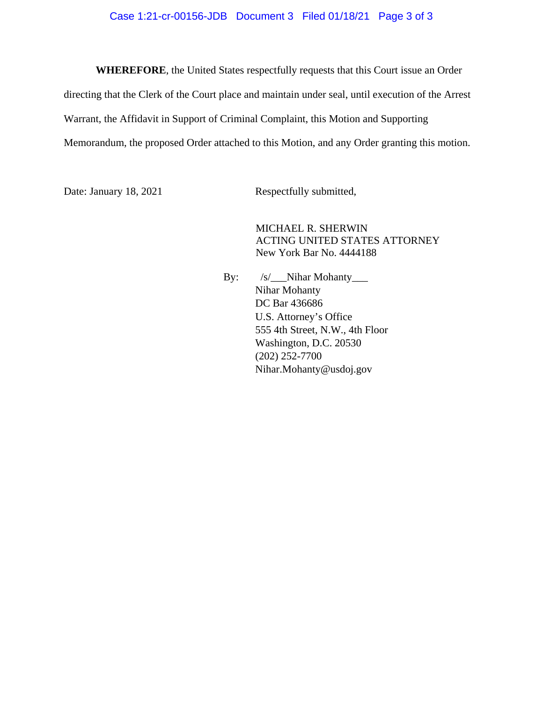#### Case 1:21-cr-00156-JDB Document 3 Filed 01/18/21 Page 3 of 3

**WHEREFORE**, the United States respectfully requests that this Court issue an Order directing that the Clerk of the Court place and maintain under seal, until execution of the Arrest Warrant, the Affidavit in Support of Criminal Complaint, this Motion and Supporting Memorandum, the proposed Order attached to this Motion, and any Order granting this motion.

Date: January 18, 2021 Respectfully submitted,

MICHAEL R. SHERWIN ACTING UNITED STATES ATTORNEY New York Bar No. 4444188

By: /s/\_\_Nihar Mohanty\_\_\_ Nihar Mohanty DC Bar 436686 U.S. Attorney's Office 555 4th Street, N.W., 4th Floor Washington, D.C. 20530 (202) 252-7700 Nihar.Mohanty@usdoj.gov